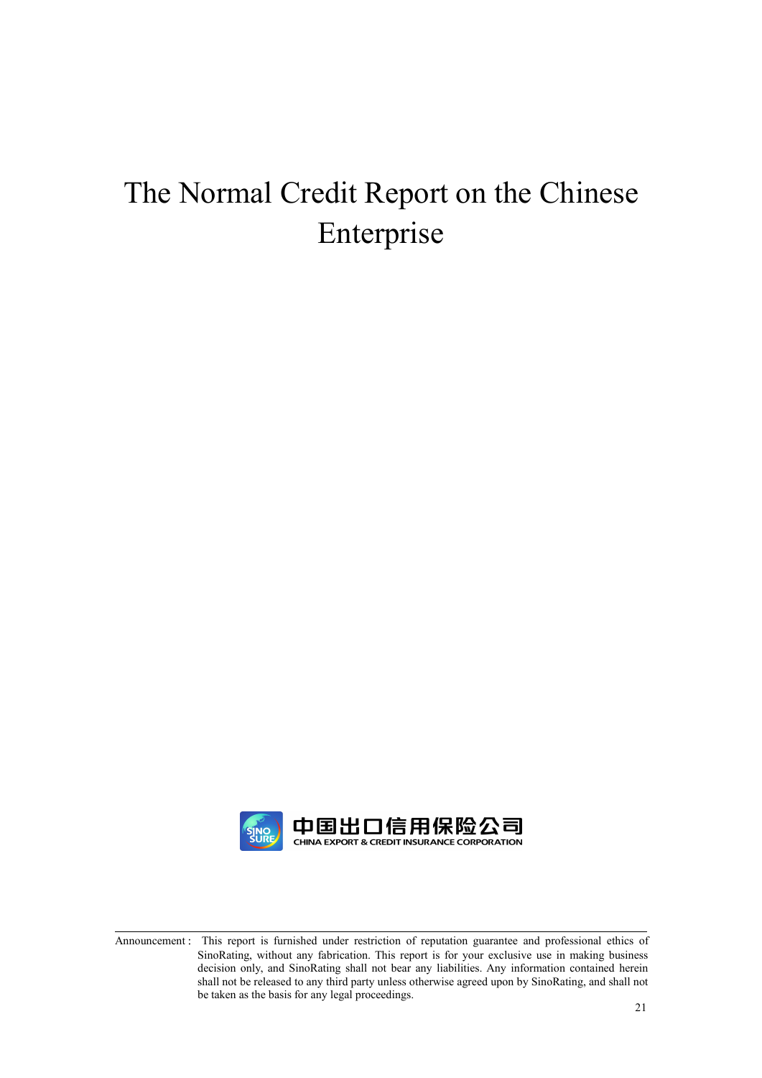# The Normal Credit Report on the Chinese Enterprise

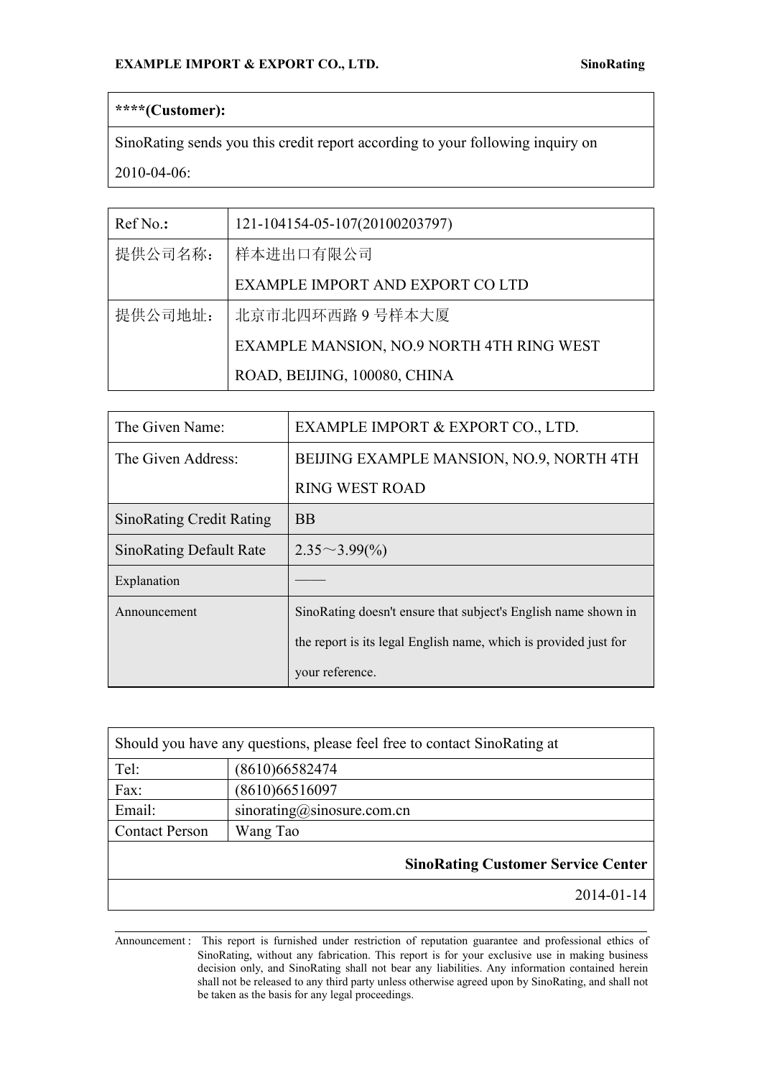# **\*\*\*\*(Customer):**

SinoRating sends you this credit report according to your following inquiry on 2010-04-06:

| $RefNo.$ : | 121-104154-05-107(20100203797)            |  |
|------------|-------------------------------------------|--|
| 提供公司名称:    | 样本进出口有限公司                                 |  |
|            | EXAMPLE IMPORT AND EXPORT CO LTD          |  |
| 提供公司地址:    | 北京市北四环西路9号样本大厦                            |  |
|            | EXAMPLE MANSION, NO.9 NORTH 4TH RING WEST |  |
|            | ROAD, BEIJING, 100080, CHINA              |  |

| The Given Name:                 | EXAMPLE IMPORT & EXPORT CO., LTD.                                |  |
|---------------------------------|------------------------------------------------------------------|--|
| The Given Address:              | BEIJING EXAMPLE MANSION, NO.9, NORTH 4TH                         |  |
|                                 | <b>RING WEST ROAD</b>                                            |  |
| <b>SinoRating Credit Rating</b> | <b>BB</b>                                                        |  |
| <b>SinoRating Default Rate</b>  | $2.35 \sim 3.99\binom{0}{0}$                                     |  |
| Explanation                     |                                                                  |  |
| Announcement                    | SinoRating doesn't ensure that subject's English name shown in   |  |
|                                 | the report is its legal English name, which is provided just for |  |
|                                 | your reference.                                                  |  |

| Should you have any questions, please feel free to contact SinoRating at |                                           |  |
|--------------------------------------------------------------------------|-------------------------------------------|--|
| Tel:                                                                     | (8610)66582474                            |  |
| Fax:                                                                     | (8610)66516097                            |  |
| Email:                                                                   | sinorating@sinosure.com.cn                |  |
| <b>Contact Person</b>                                                    | Wang Tao                                  |  |
|                                                                          | <b>SinoRating Customer Service Center</b> |  |
|                                                                          | $2014 - 01 - 14$                          |  |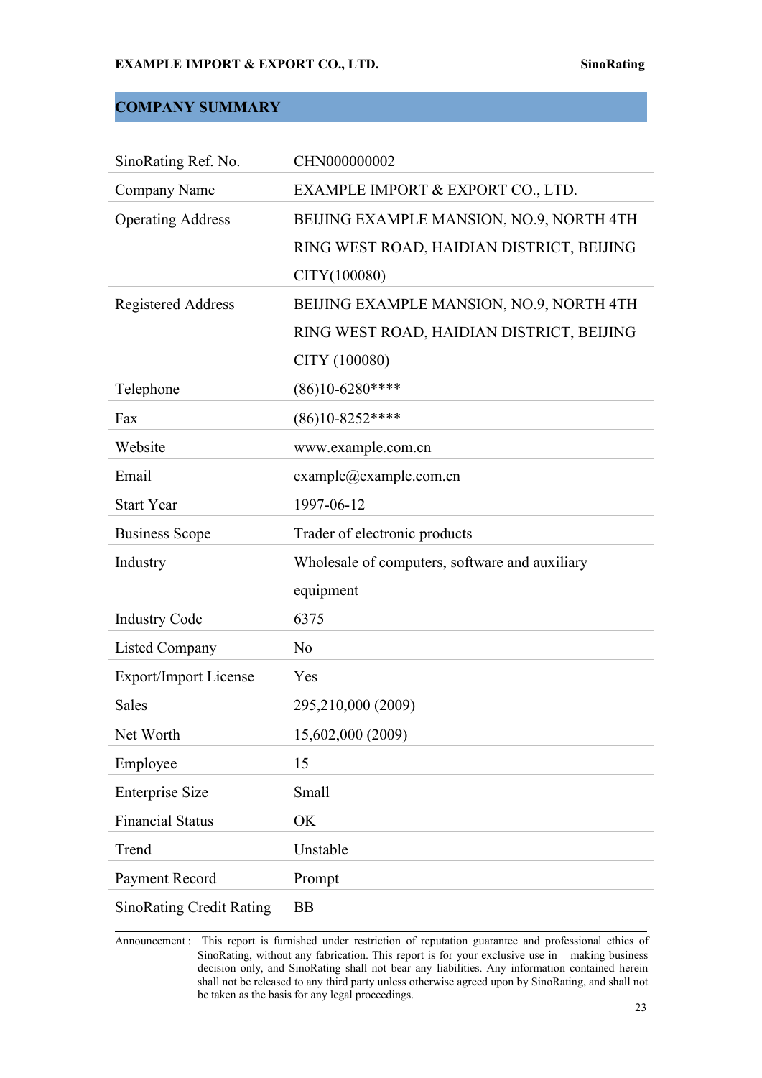# **COMPANY SUMMARY**

| SinoRating Ref. No.             | CHN000000002                                   |
|---------------------------------|------------------------------------------------|
| Company Name                    | EXAMPLE IMPORT & EXPORT CO., LTD.              |
| <b>Operating Address</b>        | BEIJING EXAMPLE MANSION, NO.9, NORTH 4TH       |
|                                 | RING WEST ROAD, HAIDIAN DISTRICT, BEIJING      |
|                                 | CITY(100080)                                   |
| <b>Registered Address</b>       | BEIJING EXAMPLE MANSION, NO.9, NORTH 4TH       |
|                                 | RING WEST ROAD, HAIDIAN DISTRICT, BEIJING      |
|                                 | CITY (100080)                                  |
| Telephone                       | $(86)10 - 6280$ ****                           |
| Fax                             | $(86)10 - 8252$ ****                           |
| Website                         | www.example.com.cn                             |
| Email                           | example@example.com.cn                         |
| <b>Start Year</b>               | 1997-06-12                                     |
| <b>Business Scope</b>           | Trader of electronic products                  |
| Industry                        | Wholesale of computers, software and auxiliary |
|                                 | equipment                                      |
| <b>Industry Code</b>            | 6375                                           |
| <b>Listed Company</b>           | N <sub>0</sub>                                 |
| <b>Export/Import License</b>    | Yes                                            |
| Sales                           | 295,210,000 (2009)                             |
| Net Worth                       | 15,602,000 (2009)                              |
| Employee                        | 15                                             |
| <b>Enterprise Size</b>          | Small                                          |
| <b>Financial Status</b>         | OK                                             |
| Trend                           | Unstable                                       |
| Payment Record                  | Prompt                                         |
| <b>SinoRating Credit Rating</b> | <b>BB</b>                                      |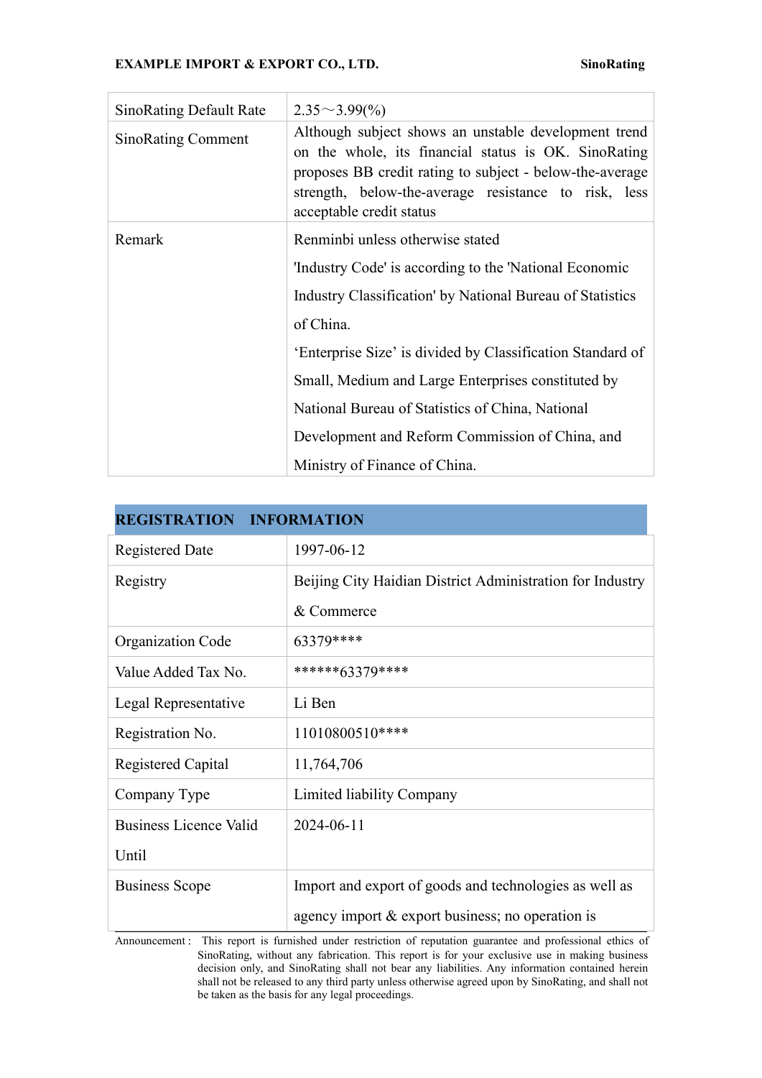| <b>SinoRating Default Rate</b> | $2.35 \sim 3.99\%$                                                                                                                                                                                                                                           |  |
|--------------------------------|--------------------------------------------------------------------------------------------------------------------------------------------------------------------------------------------------------------------------------------------------------------|--|
| <b>SinoRating Comment</b>      | Although subject shows an unstable development trend<br>on the whole, its financial status is OK. SinoRating<br>proposes BB credit rating to subject - below-the-average<br>strength, below-the-average resistance to risk, less<br>acceptable credit status |  |
| Remark                         | Renminbi unless otherwise stated                                                                                                                                                                                                                             |  |
|                                | 'Industry Code' is according to the 'National Economic                                                                                                                                                                                                       |  |
|                                | Industry Classification' by National Bureau of Statistics                                                                                                                                                                                                    |  |
|                                | of China.                                                                                                                                                                                                                                                    |  |
|                                | 'Enterprise Size' is divided by Classification Standard of                                                                                                                                                                                                   |  |
|                                | Small, Medium and Large Enterprises constituted by                                                                                                                                                                                                           |  |
|                                | National Bureau of Statistics of China, National                                                                                                                                                                                                             |  |
|                                | Development and Reform Commission of China, and                                                                                                                                                                                                              |  |
|                                | Ministry of Finance of China.                                                                                                                                                                                                                                |  |

| <b>REGISTRATION</b><br><b>INFORMATION</b> |                                                           |  |
|-------------------------------------------|-----------------------------------------------------------|--|
| <b>Registered Date</b>                    | 1997-06-12                                                |  |
| Registry                                  | Beijing City Haidian District Administration for Industry |  |
|                                           | & Commerce                                                |  |
| Organization Code                         | 63379****                                                 |  |
| Value Added Tax No.                       | ******63379****                                           |  |
| Legal Representative                      | Li Ben                                                    |  |
| Registration No.                          | 11010800510****                                           |  |
| Registered Capital                        | 11,764,706                                                |  |
| Company Type                              | Limited liability Company                                 |  |
| <b>Business Licence Valid</b>             | 2024-06-11                                                |  |
| Until                                     |                                                           |  |
| <b>Business Scope</b>                     | Import and export of goods and technologies as well as    |  |
|                                           | agency import & export business; no operation is          |  |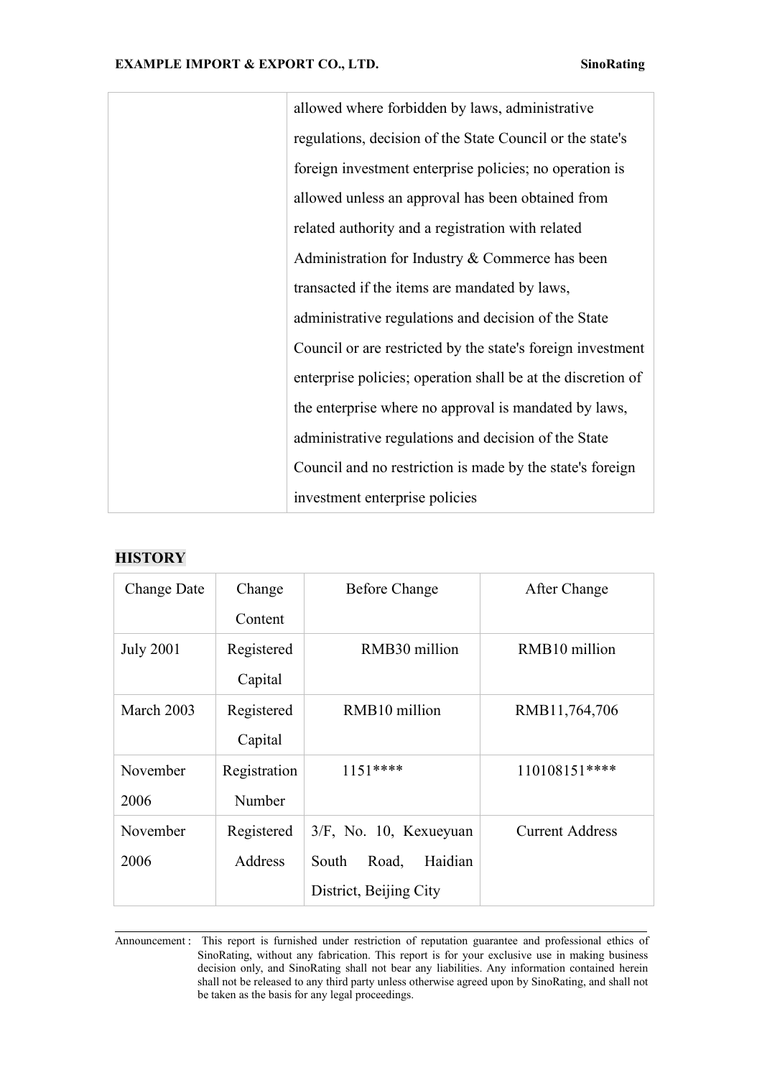allowed where forbidden by laws, administrative regulations, decision of the State Council or the state's foreign investment enterprise policies; no operation is allowed unless an approval has been obtained from related authority and a registration with related Administration for Industry & Commerce has been transacted if the items are mandated by laws, administrative regulations and decision of the State Council or are restricted by the state's foreign investment enterprise policies; operation shall be at the discretion of the enterprise where no approval is mandated by laws, administrative regulations and decision of the State Council and no restriction is made by the state's foreign investment enterprise policies

# **HISTORY**

| Change Date      | Change       | <b>Before Change</b>      | After Change           |
|------------------|--------------|---------------------------|------------------------|
|                  | Content      |                           |                        |
| <b>July 2001</b> | Registered   | RMB30 million             | RMB10 million          |
|                  | Capital      |                           |                        |
| March 2003       | Registered   | RMB10 million             | RMB11,764,706          |
|                  | Capital      |                           |                        |
| November         | Registration | $1151***$                 | 110108151****          |
| 2006             | Number       |                           |                        |
| November         | Registered   | $3/F$ , No. 10, Kexueyuan | <b>Current Address</b> |
| 2006             | Address      | Haidian<br>South<br>Road, |                        |
|                  |              | District, Beijing City    |                        |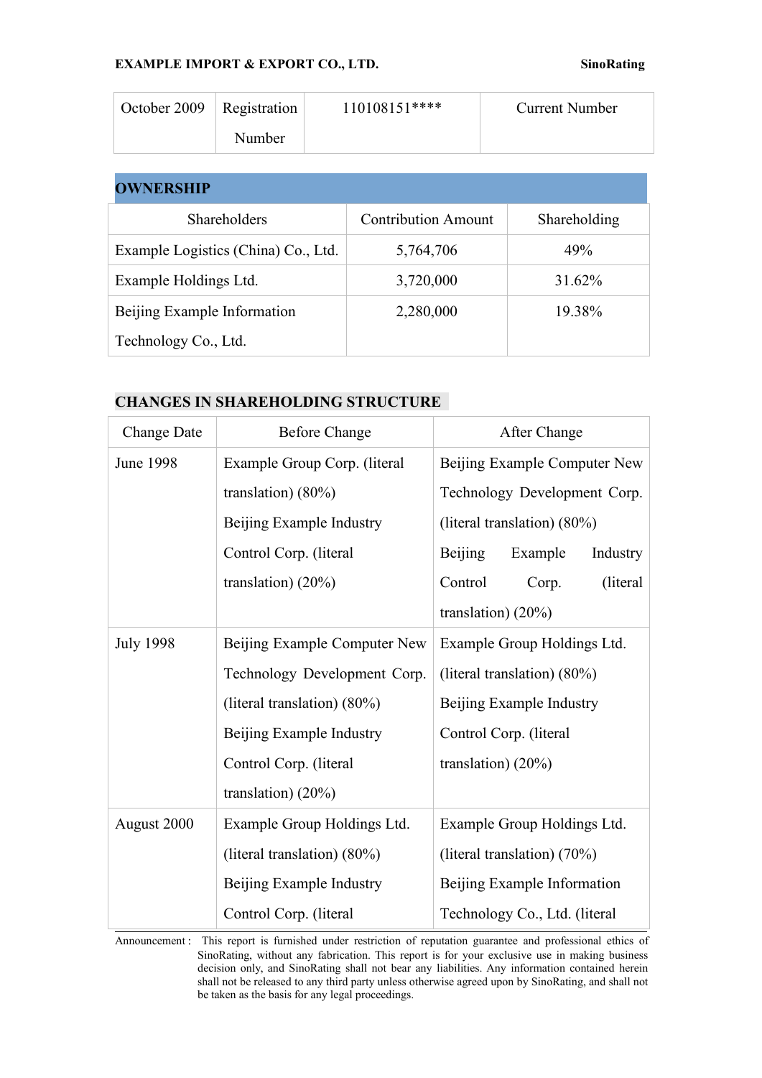| October 2009 | Registration | 110108151**** | <b>Current Number</b> |
|--------------|--------------|---------------|-----------------------|
|              | Number       |               |                       |

### **OWNERSHIP**

| Shareholders                        | <b>Contribution Amount</b> | Shareholding |
|-------------------------------------|----------------------------|--------------|
| Example Logistics (China) Co., Ltd. | 5,764,706                  | 49%          |
| Example Holdings Ltd.               | 3,720,000                  | 31.62%       |
| Beijing Example Information         | 2,280,000                  | 19.38%       |
| Technology Co., Ltd.                |                            |              |

# **CHANGES IN SHAREHOLDING STRUCTURE**

| Change Date      | <b>Before Change</b>           | After Change                          |  |
|------------------|--------------------------------|---------------------------------------|--|
| <b>June 1998</b> | Example Group Corp. (literal   | Beijing Example Computer New          |  |
|                  | translation) $(80\%)$          | Technology Development Corp.          |  |
|                  | Beijing Example Industry       | (literal translation) $(80\%)$        |  |
|                  | Control Corp. (literal         | <b>Beijing</b><br>Example<br>Industry |  |
|                  | translation) $(20\%)$          | Control<br>(literal)<br>Corp.         |  |
|                  |                                | translation) $(20\%)$                 |  |
| <b>July 1998</b> | Beijing Example Computer New   | Example Group Holdings Ltd.           |  |
|                  | Technology Development Corp.   | (literal translation) $(80\%)$        |  |
|                  | (literal translation) $(80\%)$ | Beijing Example Industry              |  |
|                  | Beijing Example Industry       | Control Corp. (literal                |  |
|                  | Control Corp. (literal         | translation) $(20\%)$                 |  |
|                  | translation) $(20\%)$          |                                       |  |
| August 2000      | Example Group Holdings Ltd.    | Example Group Holdings Ltd.           |  |
|                  | (literal translation) $(80\%)$ | (literal translation) (70%)           |  |
|                  | Beijing Example Industry       | Beijing Example Information           |  |
|                  | Control Corp. (literal         | Technology Co., Ltd. (literal         |  |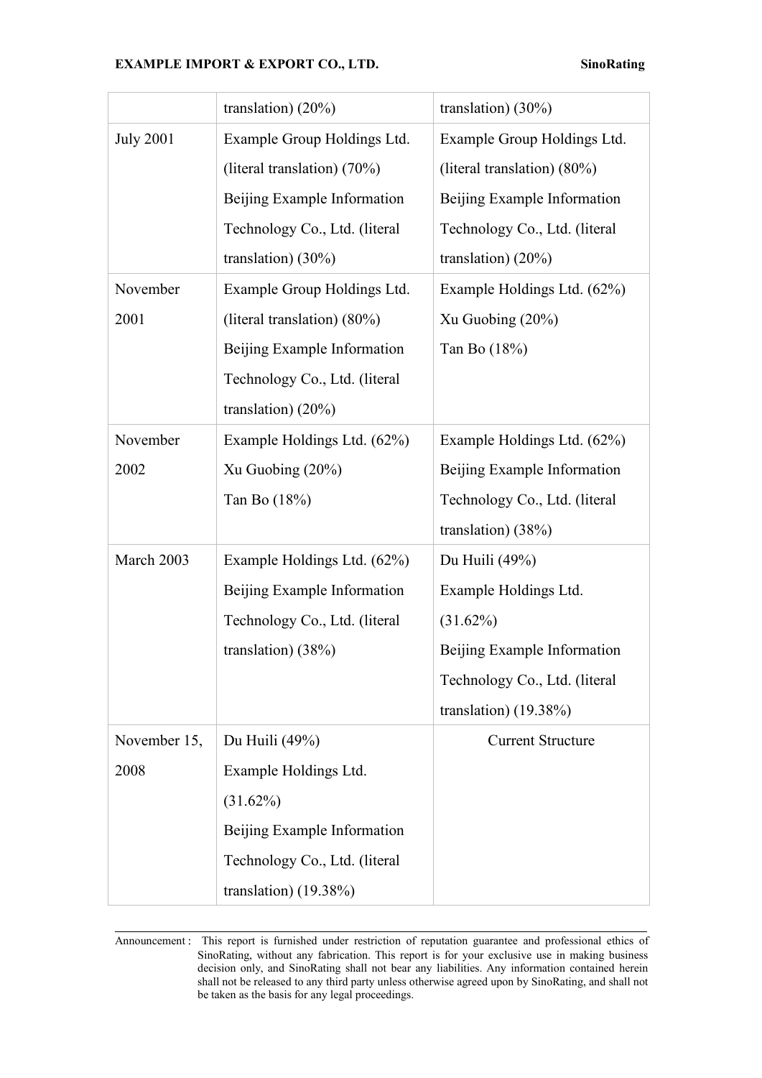|                  | translation) $(20\%)$          | translation) $(30\%)$         |
|------------------|--------------------------------|-------------------------------|
| <b>July 2001</b> | Example Group Holdings Ltd.    | Example Group Holdings Ltd.   |
|                  | (literal translation) (70%)    | (literal translation) (80%)   |
|                  | Beijing Example Information    | Beijing Example Information   |
|                  | Technology Co., Ltd. (literal  | Technology Co., Ltd. (literal |
|                  | translation) $(30\%)$          | translation) $(20\%)$         |
| November         | Example Group Holdings Ltd.    | Example Holdings Ltd. (62%)   |
| 2001             | (literal translation) $(80\%)$ | Xu Guobing $(20\%)$           |
|                  | Beijing Example Information    | Tan Bo (18%)                  |
|                  | Technology Co., Ltd. (literal  |                               |
|                  | translation) $(20\%)$          |                               |
| November         | Example Holdings Ltd. (62%)    | Example Holdings Ltd. (62%)   |
| 2002             | Xu Guobing $(20\%)$            | Beijing Example Information   |
|                  | Tan Bo (18%)                   | Technology Co., Ltd. (literal |
|                  |                                | translation) $(38%)$          |
| March 2003       | Example Holdings Ltd. (62%)    | Du Huili (49%)                |
|                  | Beijing Example Information    | Example Holdings Ltd.         |
|                  | Technology Co., Ltd. (literal  | $(31.62\%)$                   |
|                  | translation) $(38%)$           | Beijing Example Information   |
|                  |                                | Technology Co., Ltd. (literal |
|                  |                                | translation) (19.38%)         |
| November 15,     | Du Huili (49%)                 | <b>Current Structure</b>      |
| 2008             | Example Holdings Ltd.          |                               |
|                  | $(31.62\%)$                    |                               |
|                  | Beijing Example Information    |                               |
|                  | Technology Co., Ltd. (literal  |                               |
|                  | translation) $(19.38\%)$       |                               |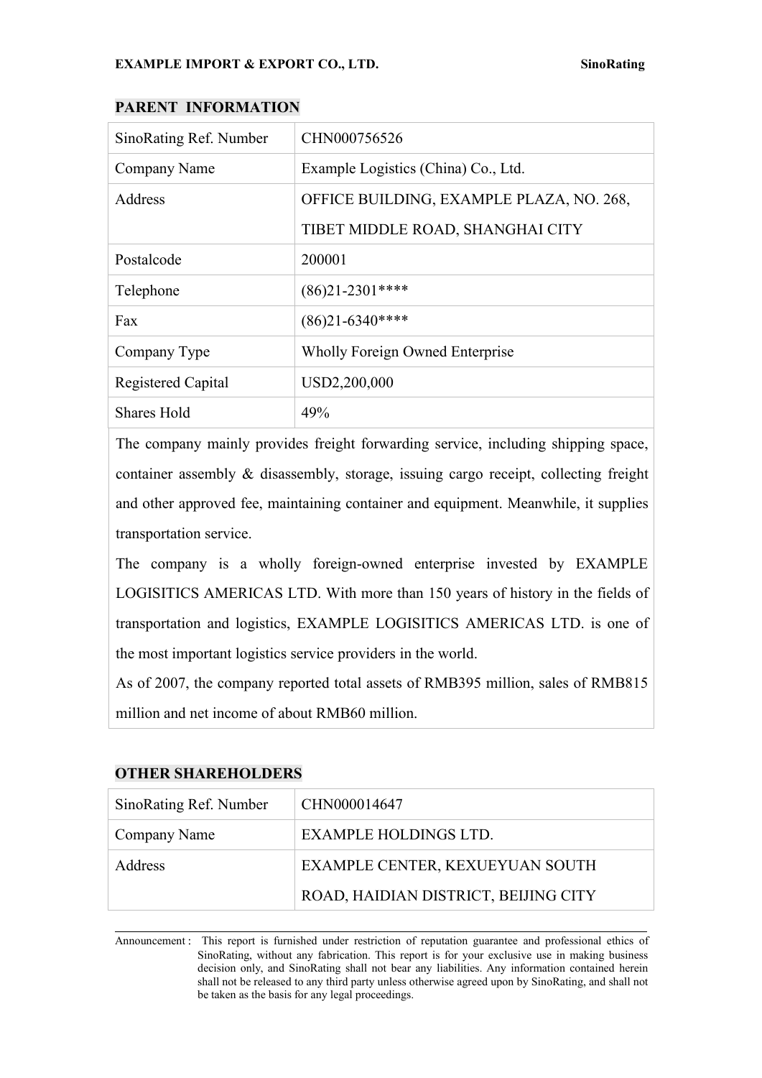| SinoRating Ref. Number | CHN000756526                             |  |
|------------------------|------------------------------------------|--|
| Company Name           | Example Logistics (China) Co., Ltd.      |  |
| Address                | OFFICE BUILDING, EXAMPLE PLAZA, NO. 268, |  |
|                        | TIBET MIDDLE ROAD, SHANGHAI CITY         |  |
| Postalcode             | 200001                                   |  |
| Telephone              | $(86)21 - 2301$ ****                     |  |
| Fax                    | $(86)$ 21-6340****                       |  |
| Company Type           | Wholly Foreign Owned Enterprise          |  |
| Registered Capital     | USD2,200,000                             |  |
| <b>Shares Hold</b>     | 49%                                      |  |

#### **PARENT INFORMATION**

The company mainly provides freight forwarding service, including shipping space, container assembly & disassembly, storage, issuing cargo receipt, collecting freight and other approved fee, maintaining container and equipment. Meanwhile, it supplies transportation service.

The company is a wholly foreign-owned enterprise invested by EXAMPLE LOGISITICS AMERICAS LTD. With more than 150 years of history in the fields of transportation and logistics, EXAMPLE LOGISITICS AMERICAS LTD. is one of the most important logistics service providers in the world.

As of 2007, the company reported total assets of RMB395 million, sales of RMB815 million and net income of about RMB60 million.

# **OTHER SHAREHOLDERS**

| SinoRating Ref. Number | CHN000014647                         |
|------------------------|--------------------------------------|
| Company Name           | EXAMPLE HOLDINGS LTD.                |
| Address                | EXAMPLE CENTER, KEXUEYUAN SOUTH      |
|                        | ROAD, HAIDIAN DISTRICT, BEIJING CITY |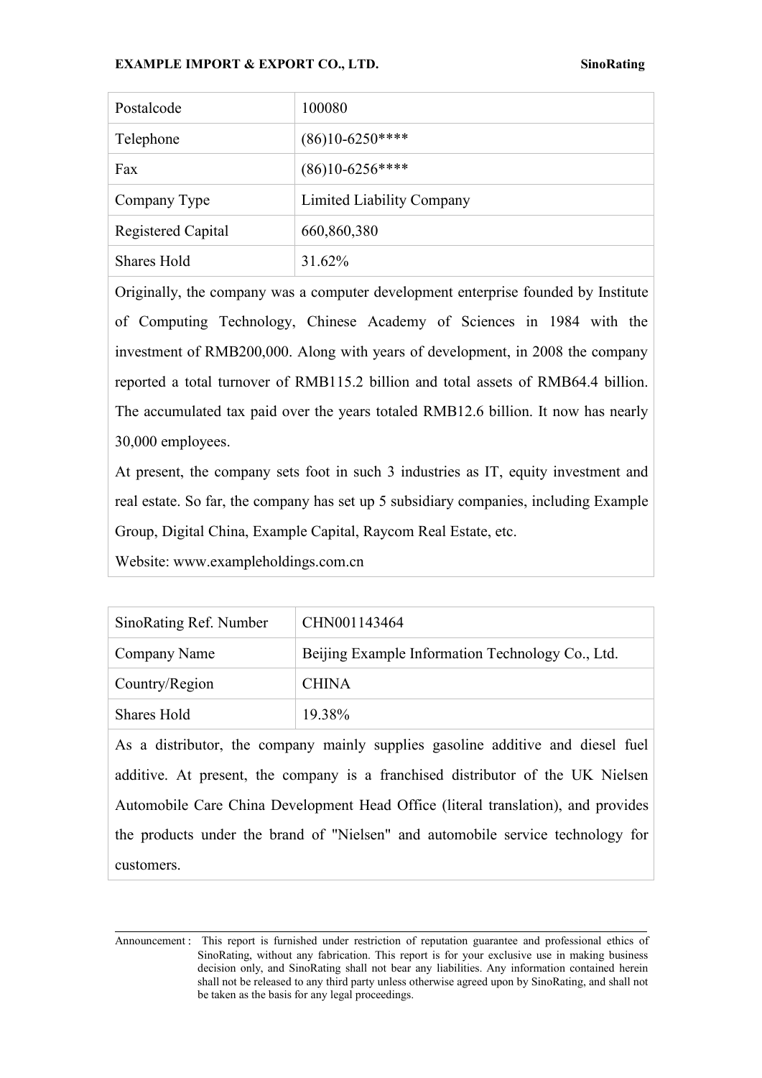| Postalcode         | 100080                    |
|--------------------|---------------------------|
| Telephone          | $(86)10 - 6250$ ****      |
| Fax                | $(86)10 - 6256$ ****      |
| Company Type       | Limited Liability Company |
| Registered Capital | 660,860,380               |
| <b>Shares Hold</b> | 31.62%                    |

Originally, the company was a computer development enterprise founded by Institute of Computing Technology, Chinese Academy of Sciences in 1984 with the investment of RMB200,000. Along with years of development, in 2008 the company reported a total turnover of RMB115.2 billion and total assets of RMB64.4 billion. The accumulated tax paid over the years totaled RMB12.6 billion. It now has nearly 30,000 employees.

At present, the company sets foot in such 3 industries as IT, equity investment and real estate. So far, the company has set up 5 subsidiary companies, including Example Group, Digital China, Example Capital, Raycom Real Estate, etc.

Website: www.exampleholdings.com.cn

| SinoRating Ref. Number | CHN001143464                                     |
|------------------------|--------------------------------------------------|
| Company Name           | Beijing Example Information Technology Co., Ltd. |
| Country/Region         | <b>CHINA</b>                                     |
| Shares Hold            | 19.38%                                           |

As a distributor, the company mainly supplies gasoline additive and diesel fuel additive. At present, the company is a franchised distributor of the UK Nielsen Automobile Care China Development Head Office (literal translation), and provides the products under the brand of "Nielsen" and automobile service technology for customers.

Announcement : This report is furnished under restriction of reputation guarantee and professional ethics of SinoRating, without any fabrication. This report is for your exclusive use in making business decision only, and SinoRating shall not bear any liabilities. Any information contained herein shall not be released to any third party unless otherwise agreed upon by SinoRating, and shall not be taken as the basis for any legal proceedings.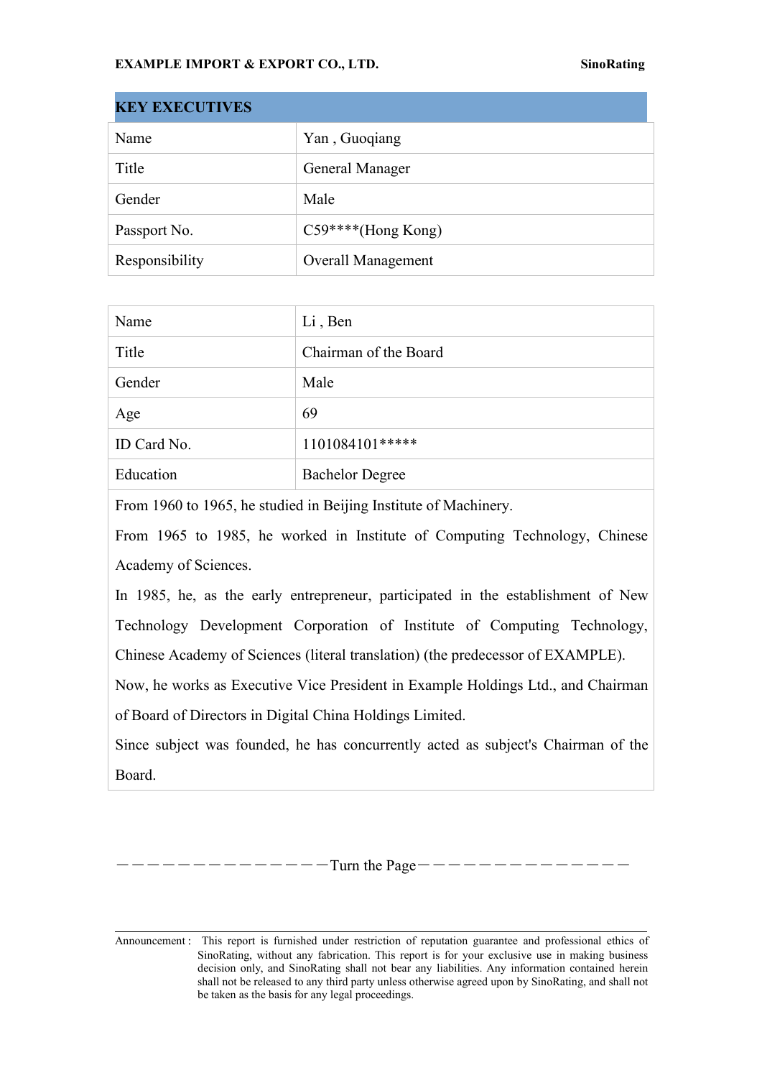| <b>KEY EXECUTIVES</b> |                           |
|-----------------------|---------------------------|
| Name                  | Yan, Guoqiang             |
| Title                 | General Manager           |
| Gender                | Male                      |
| Passport No.          | $C59***$ (Hong Kong)      |
| Responsibility        | <b>Overall Management</b> |

| Name        | Li, Ben                |
|-------------|------------------------|
| Title       | Chairman of the Board  |
| Gender      | Male                   |
| Age         | 69                     |
| ID Card No. | 1101084101*****        |
| Education   | <b>Bachelor Degree</b> |

From 1960 to 1965, he studied in Beijing Institute of Machinery.

From 1965 to 1985, he worked in Institute of Computing Technology, Chinese Academy of Sciences.

In 1985, he, as the early entrepreneur, participated in the establishment of New Technology Development Corporation of Institute of Computing Technology, Chinese Academy of Sciences (literal translation) (the predecessor of EXAMPLE).

Now, he works as Executive Vice President in Example Holdings Ltd., and Chairman of Board of Directors in Digital China Holdings Limited.

Since subject was founded, he has concurrently acted as subject's Chairman of the Board.

――――――――――――――Turn the Page――――――――――――――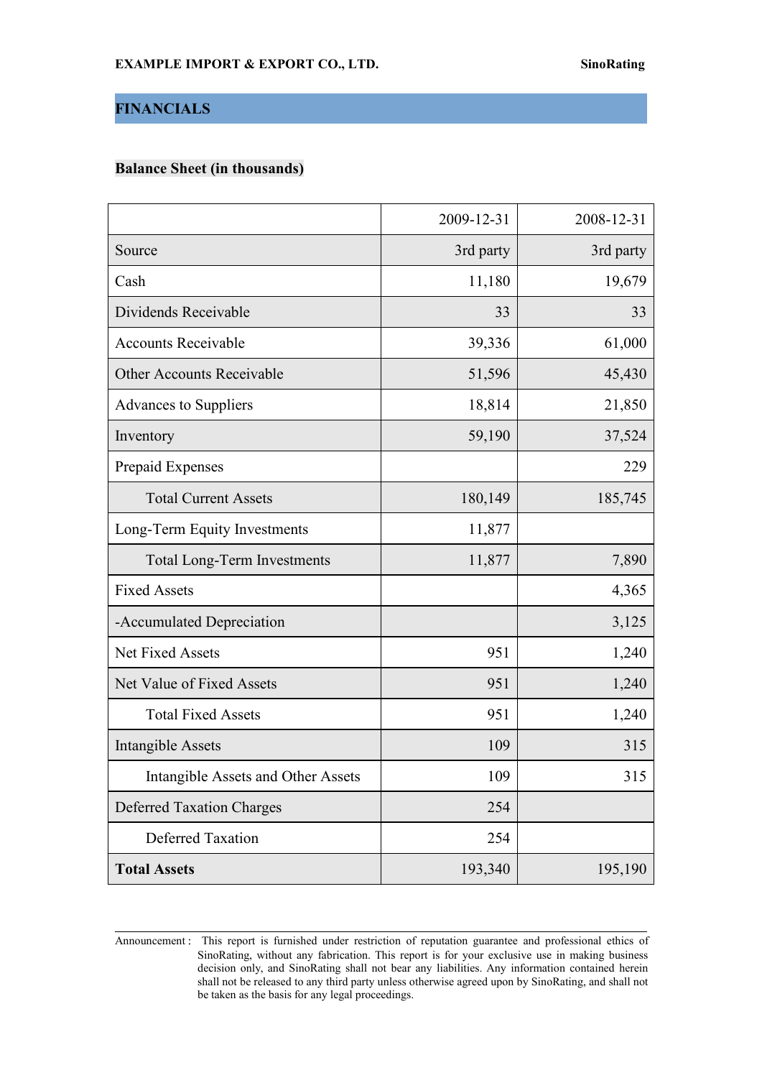# **FINANCIALS**

# **Balance Sheet (in thousands)**

|                                    | 2009-12-31 | 2008-12-31 |
|------------------------------------|------------|------------|
| Source                             | 3rd party  | 3rd party  |
| Cash                               | 11,180     | 19,679     |
| Dividends Receivable               | 33         | 33         |
| <b>Accounts Receivable</b>         | 39,336     | 61,000     |
| Other Accounts Receivable          | 51,596     | 45,430     |
| <b>Advances to Suppliers</b>       | 18,814     | 21,850     |
| Inventory                          | 59,190     | 37,524     |
| Prepaid Expenses                   |            | 229        |
| <b>Total Current Assets</b>        | 180,149    | 185,745    |
| Long-Term Equity Investments       | 11,877     |            |
| Total Long-Term Investments        | 11,877     | 7,890      |
| <b>Fixed Assets</b>                |            | 4,365      |
| -Accumulated Depreciation          |            | 3,125      |
| Net Fixed Assets                   | 951        | 1,240      |
| Net Value of Fixed Assets          | 951        | 1,240      |
| <b>Total Fixed Assets</b>          | 951        | 1,240      |
| <b>Intangible Assets</b>           | 109        | 315        |
| Intangible Assets and Other Assets | 109        | 315        |
| <b>Deferred Taxation Charges</b>   | 254        |            |
| <b>Deferred Taxation</b>           | 254        |            |
| <b>Total Assets</b>                | 193,340    | 195,190    |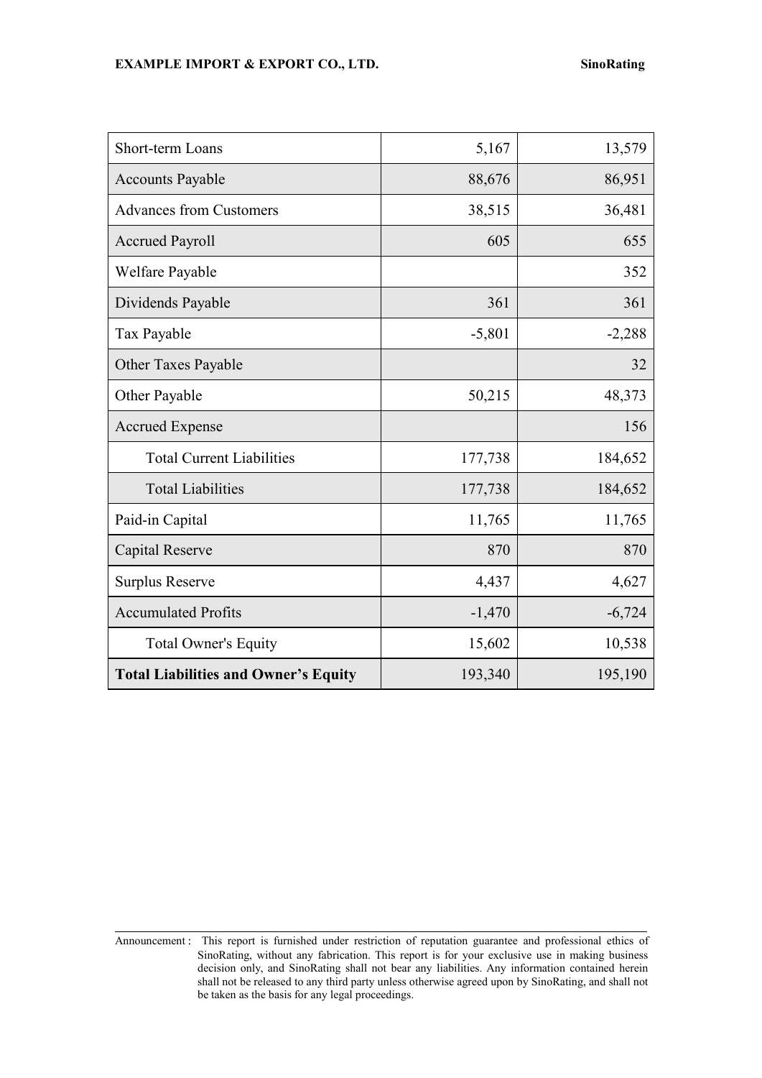| Short-term Loans                            | 5,167    | 13,579   |
|---------------------------------------------|----------|----------|
| <b>Accounts Payable</b>                     | 88,676   | 86,951   |
| <b>Advances from Customers</b>              | 38,515   | 36,481   |
| <b>Accrued Payroll</b>                      | 605      | 655      |
| Welfare Payable                             |          | 352      |
| Dividends Payable                           | 361      | 361      |
| Tax Payable                                 | $-5,801$ | $-2,288$ |
| Other Taxes Payable                         |          | 32       |
| Other Payable                               | 50,215   | 48,373   |
| <b>Accrued Expense</b>                      |          | 156      |
| <b>Total Current Liabilities</b>            | 177,738  | 184,652  |
| <b>Total Liabilities</b>                    | 177,738  | 184,652  |
| Paid-in Capital                             | 11,765   | 11,765   |
| Capital Reserve                             | 870      | 870      |
| <b>Surplus Reserve</b>                      | 4,437    | 4,627    |
| <b>Accumulated Profits</b>                  | $-1,470$ | $-6,724$ |
| <b>Total Owner's Equity</b>                 | 15,602   | 10,538   |
| <b>Total Liabilities and Owner's Equity</b> | 193,340  | 195,190  |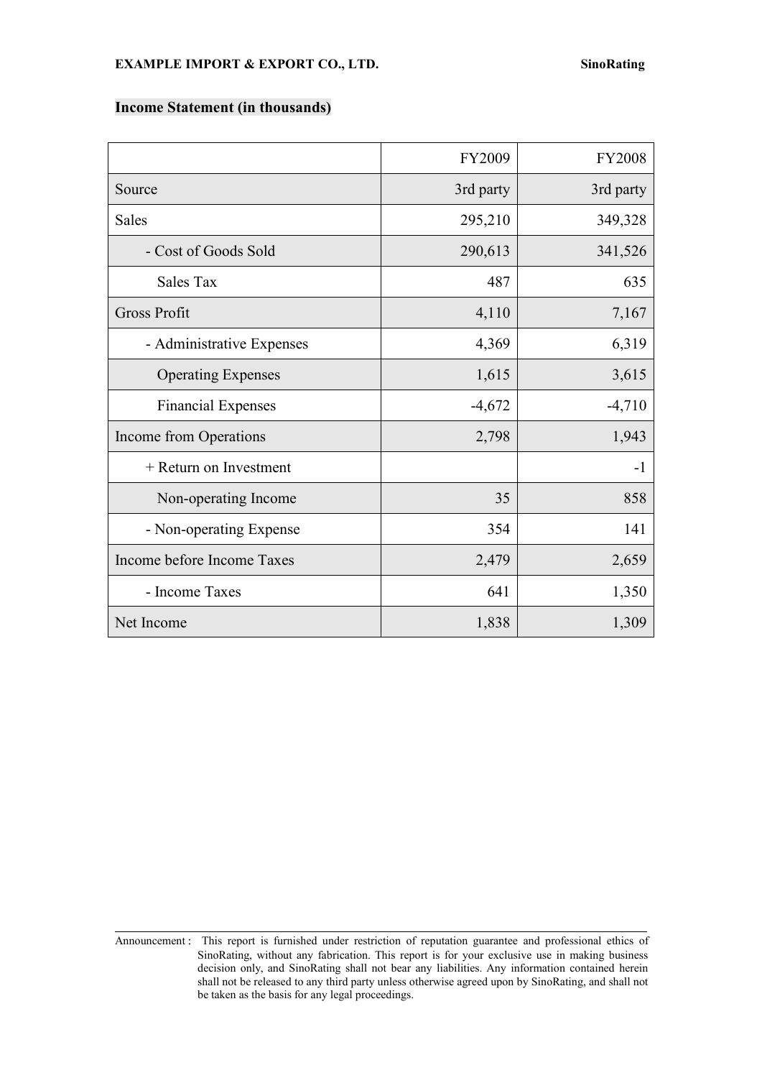#### **Income Statement (in thousands)**

|                            | FY2009    | <b>FY2008</b> |
|----------------------------|-----------|---------------|
| Source                     | 3rd party | 3rd party     |
| <b>Sales</b>               | 295,210   | 349,328       |
| - Cost of Goods Sold       | 290,613   | 341,526       |
| Sales Tax                  | 487       | 635           |
| Gross Profit               | 4,110     | 7,167         |
| - Administrative Expenses  | 4,369     | 6,319         |
| <b>Operating Expenses</b>  | 1,615     | 3,615         |
| <b>Financial Expenses</b>  | $-4,672$  | $-4,710$      |
| Income from Operations     | 2,798     | 1,943         |
| + Return on Investment     |           | $-1$          |
| Non-operating Income       | 35        | 858           |
| - Non-operating Expense    | 354       | 141           |
| Income before Income Taxes | 2,479     | 2,659         |
| - Income Taxes             | 641       | 1,350         |
| Net Income                 | 1,838     | 1,309         |

Announcement : This report is furnished under restriction of reputation guarantee and professional ethics of SinoRating, without any fabrication. This report is for your exclusive use in making business decision only, and SinoRating shall not bear any liabilities. Any information contained herein shall not be released to any third party unless otherwise agreed upon by SinoRating, and shall not be taken as the basis for any legal proceedings.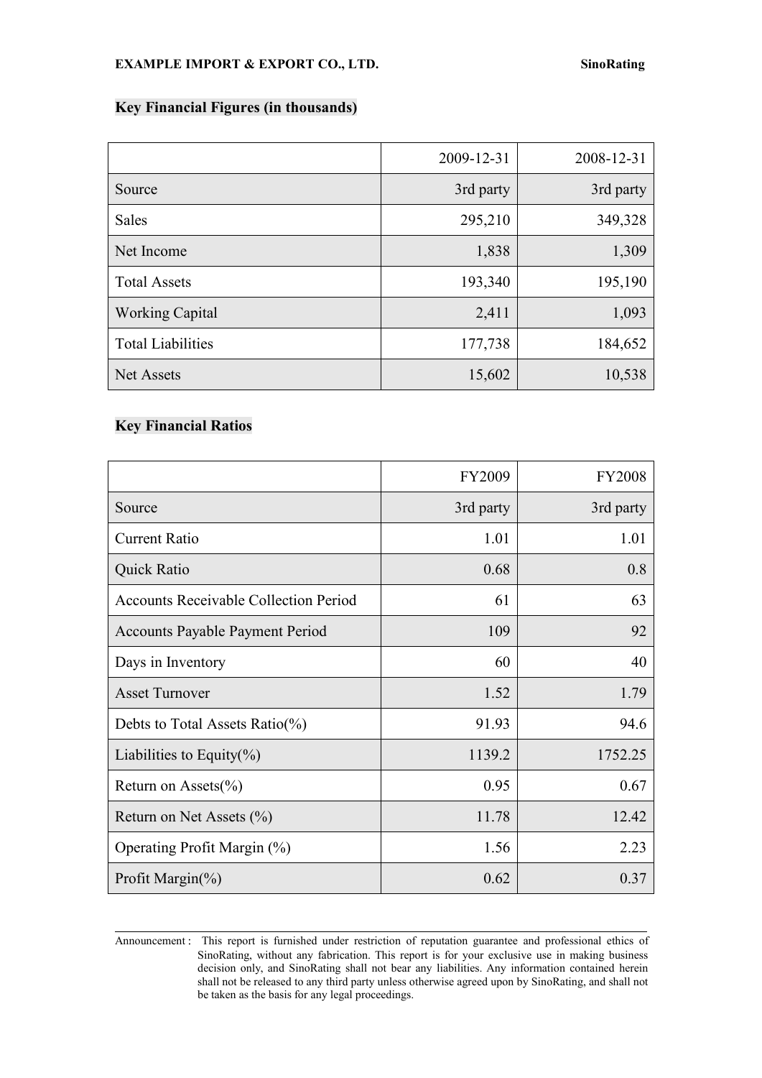# **Key Financial Figures (in thousands)**

|                          | 2009-12-31 | 2008-12-31 |
|--------------------------|------------|------------|
| Source                   | 3rd party  | 3rd party  |
| Sales                    | 295,210    | 349,328    |
| Net Income               | 1,838      | 1,309      |
| <b>Total Assets</b>      | 193,340    | 195,190    |
| <b>Working Capital</b>   | 2,411      | 1,093      |
| <b>Total Liabilities</b> | 177,738    | 184,652    |
| Net Assets               | 15,602     | 10,538     |

# **Key Financial Ratios**

|                                              | FY2009    | <b>FY2008</b> |
|----------------------------------------------|-----------|---------------|
| Source                                       | 3rd party | 3rd party     |
| <b>Current Ratio</b>                         | 1.01      | 1.01          |
| <b>Quick Ratio</b>                           | 0.68      | 0.8           |
| <b>Accounts Receivable Collection Period</b> | 61        | 63            |
| <b>Accounts Payable Payment Period</b>       | 109       | 92            |
| Days in Inventory                            | 60        | 40            |
| <b>Asset Turnover</b>                        | 1.52      | 1.79          |
| Debts to Total Assets Ratio( $\%$ )          | 91.93     | 94.6          |
| Liabilities to Equity $(\%)$                 | 1139.2    | 1752.25       |
| Return on Assets $(\% )$                     | 0.95      | 0.67          |
| Return on Net Assets $(\% )$                 | 11.78     | 12.42         |
| Operating Profit Margin (%)                  | 1.56      | 2.23          |
| Profit Margin(%)                             | 0.62      | 0.37          |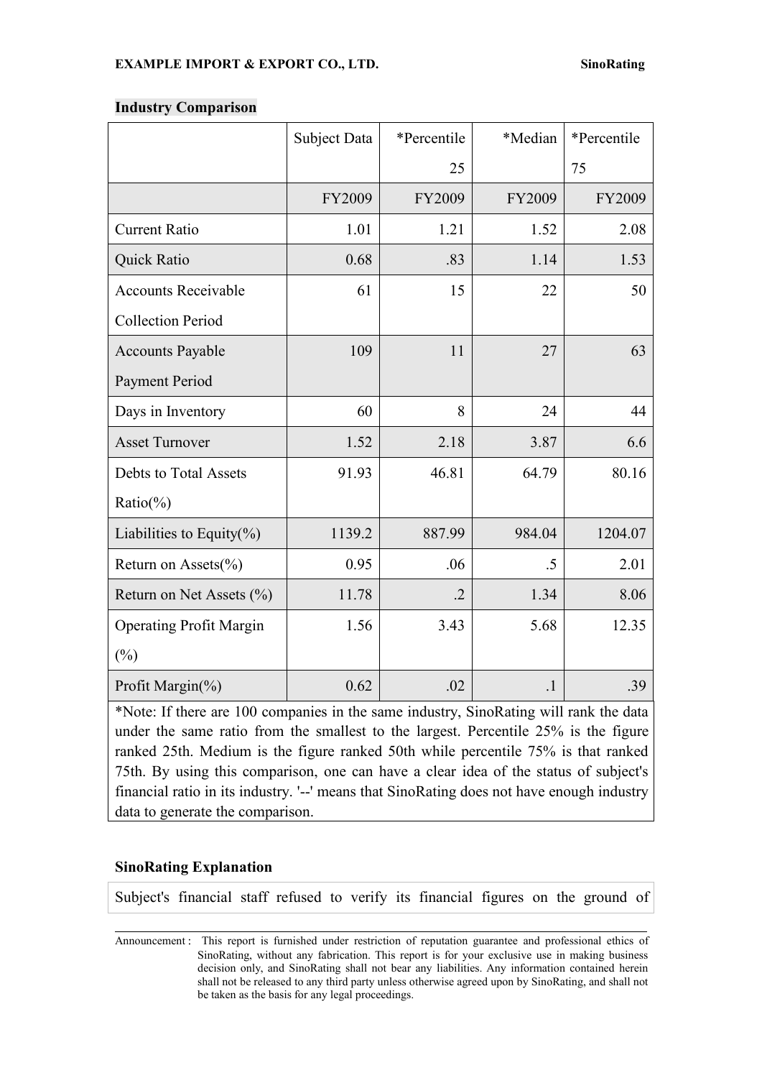|                                | Subject Data | *Percentile | *Median | *Percentile |
|--------------------------------|--------------|-------------|---------|-------------|
|                                |              | 25          |         | 75          |
|                                | FY2009       | FY2009      | FY2009  | FY2009      |
| <b>Current Ratio</b>           | 1.01         | 1.21        | 1.52    | 2.08        |
| Quick Ratio                    | 0.68         | .83         | 1.14    | 1.53        |
| <b>Accounts Receivable</b>     | 61           | 15          | 22      | 50          |
| <b>Collection Period</b>       |              |             |         |             |
| <b>Accounts Payable</b>        | 109          | 11          | $27\,$  | 63          |
| Payment Period                 |              |             |         |             |
| Days in Inventory              | 60           | 8           | 24      | 44          |
| <b>Asset Turnover</b>          | 1.52         | 2.18        | 3.87    | 6.6         |
| Debts to Total Assets          | 91.93        | 46.81       | 64.79   | 80.16       |
| $Ratio(\% )$                   |              |             |         |             |
| Liabilities to Equity $(\%)$   | 1139.2       | 887.99      | 984.04  | 1204.07     |
| Return on Assets(%)            | 0.95         | .06         | $.5\,$  | 2.01        |
| Return on Net Assets $(\% )$   | 11.78        | $\cdot$ .2  | 1.34    | 8.06        |
| <b>Operating Profit Margin</b> | 1.56         | 3.43        | 5.68    | 12.35       |
| $(\%)$                         |              |             |         |             |
| Profit Margin(%)               | 0.62         | .02         | $\cdot$ | .39         |

#### **Industry Comparison**

\*Note: If there are 100 companies in the same industry, SinoRating will rank the data under the same ratio from the smallest to the largest. Percentile 25% is the figure ranked 25th. Medium is the figure ranked 50th while percentile 75% is that ranked 75th. By using this comparison, one can have a clear idea of the status of subject's financial ratio in its industry. '--'means that SinoRating does not have enough industry data to generate the comparison.

# **SinoRating Explanation**

Subject's financial staff refused to verify its financial figures on the ground of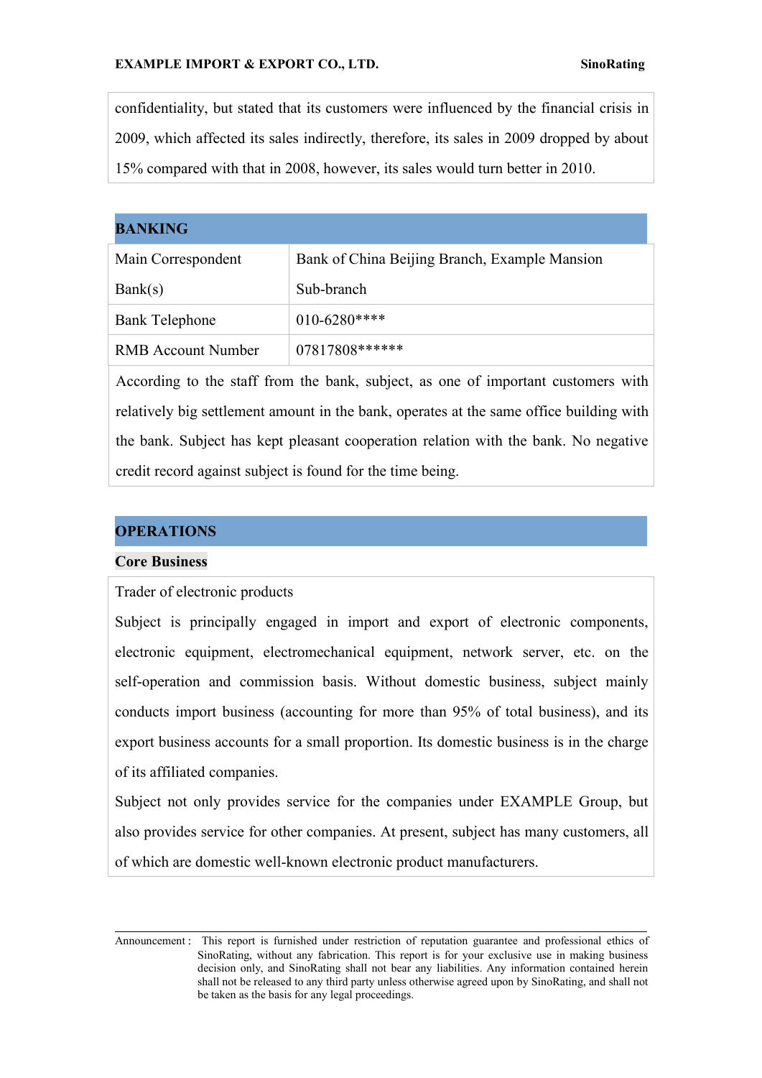confidentiality, but stated that its customers were influenced by the financial crisis in 2009, which affected its sales indirectly, therefore, its sales in 2009 dropped by about 15% compared with that in 2008, however, its sales would turn better in 2010.

### **BANKING**

| Main Correspondent        | Bank of China Beijing Branch, Example Mansion |
|---------------------------|-----------------------------------------------|
| Bank(s)                   | Sub-branch                                    |
| Bank Telephone            | $010 - 6280$ ****                             |
| <b>RMB Account Number</b> | 07817808******                                |

According to the staff from the bank, subject, as one of important customers with relatively big settlement amount in the bank, operates at the same office building with the bank. Subject has kept pleasant cooperation relation with the bank. No negative credit record against subject is found for the time being.

# **OPERATIONS**

#### **Core Business**

Trader of electronic products

Subject is principally engaged in import and export of electronic components, electronic equipment, electromechanical equipment, network server, etc. on the self-operation and commission basis. Without domestic business, subject mainly conducts import business (accounting for more than 95% of total business), and its export business accounts for a small proportion. Its domestic business is in the charge of its affiliated companies.

Subject not only provides service for the companies under EXAMPLE Group, but also provides service for other companies. At present, subject has many customers, all of which are domestic well-known electronic product manufacturers.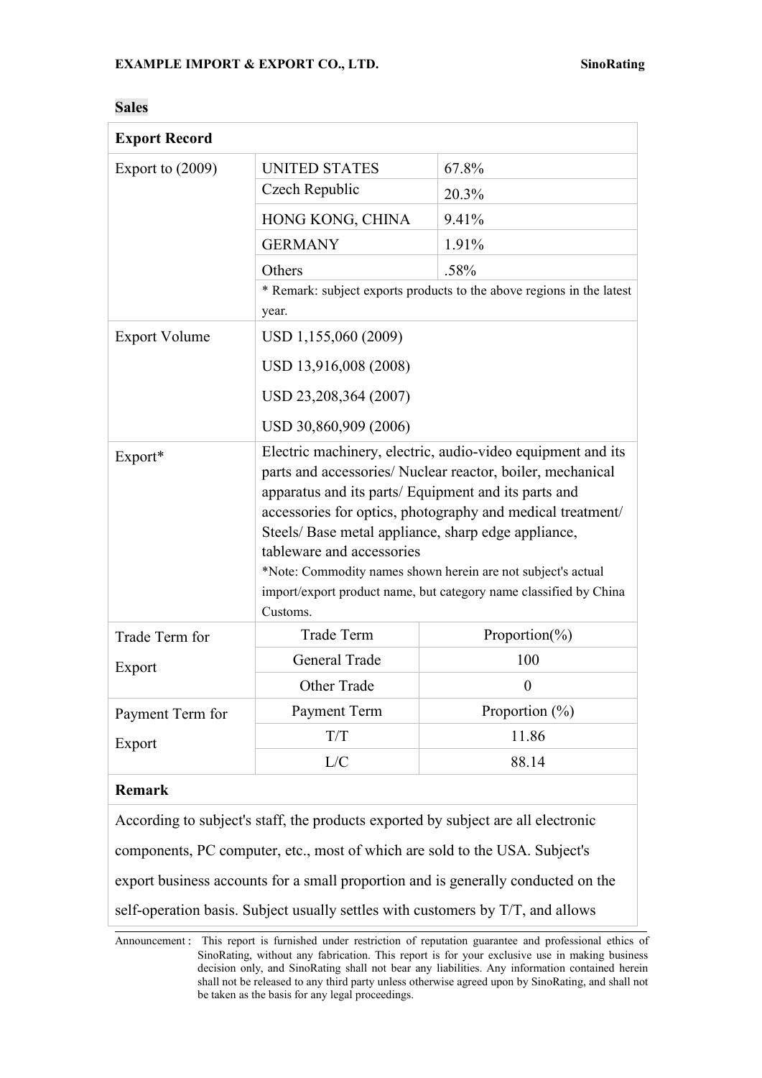| <b>Export Record</b> |                                                                                                                                                                                                                                                                                                                                                                                                                                                                                     |                                                                                   |
|----------------------|-------------------------------------------------------------------------------------------------------------------------------------------------------------------------------------------------------------------------------------------------------------------------------------------------------------------------------------------------------------------------------------------------------------------------------------------------------------------------------------|-----------------------------------------------------------------------------------|
| Export to $(2009)$   | <b>UNITED STATES</b>                                                                                                                                                                                                                                                                                                                                                                                                                                                                | 67.8%                                                                             |
|                      | Czech Republic                                                                                                                                                                                                                                                                                                                                                                                                                                                                      | 20.3%                                                                             |
|                      | HONG KONG, CHINA                                                                                                                                                                                                                                                                                                                                                                                                                                                                    | 9.41%                                                                             |
|                      | <b>GERMANY</b>                                                                                                                                                                                                                                                                                                                                                                                                                                                                      | 1.91%                                                                             |
|                      | Others                                                                                                                                                                                                                                                                                                                                                                                                                                                                              | .58%                                                                              |
|                      | * Remark: subject exports products to the above regions in the latest<br>year.                                                                                                                                                                                                                                                                                                                                                                                                      |                                                                                   |
| <b>Export Volume</b> | USD 1,155,060 (2009)                                                                                                                                                                                                                                                                                                                                                                                                                                                                |                                                                                   |
|                      | USD 13,916,008 (2008)                                                                                                                                                                                                                                                                                                                                                                                                                                                               |                                                                                   |
|                      | USD 23,208,364 (2007)                                                                                                                                                                                                                                                                                                                                                                                                                                                               |                                                                                   |
|                      | USD 30,860,909 (2006)                                                                                                                                                                                                                                                                                                                                                                                                                                                               |                                                                                   |
| Export*              | Electric machinery, electric, audio-video equipment and its<br>parts and accessories/ Nuclear reactor, boiler, mechanical<br>apparatus and its parts/ Equipment and its parts and<br>accessories for optics, photography and medical treatment/<br>Steels/Base metal appliance, sharp edge appliance,<br>tableware and accessories<br>*Note: Commodity names shown herein are not subject's actual<br>import/export product name, but category name classified by China<br>Customs. |                                                                                   |
| Trade Term for       | Trade Term                                                                                                                                                                                                                                                                                                                                                                                                                                                                          | Proportion(%)                                                                     |
| Export               | General Trade                                                                                                                                                                                                                                                                                                                                                                                                                                                                       | 100                                                                               |
|                      | Other Trade                                                                                                                                                                                                                                                                                                                                                                                                                                                                         | $\boldsymbol{0}$                                                                  |
| Payment Term for     | Payment Term                                                                                                                                                                                                                                                                                                                                                                                                                                                                        | Proportion $(\% )$                                                                |
| Export               | T/T                                                                                                                                                                                                                                                                                                                                                                                                                                                                                 | 11.86                                                                             |
|                      | L/C                                                                                                                                                                                                                                                                                                                                                                                                                                                                                 | 88.14                                                                             |
| <b>Remark</b>        |                                                                                                                                                                                                                                                                                                                                                                                                                                                                                     |                                                                                   |
|                      | According to subject's staff, the products exported by subject are all electronic                                                                                                                                                                                                                                                                                                                                                                                                   |                                                                                   |
|                      | components, PC computer, etc., most of which are sold to the USA. Subject's                                                                                                                                                                                                                                                                                                                                                                                                         |                                                                                   |
|                      |                                                                                                                                                                                                                                                                                                                                                                                                                                                                                     | export business accounts for a small proportion and is generally conducted on the |
|                      | self-operation basis. Subject usually settles with customers by T/T, and allows                                                                                                                                                                                                                                                                                                                                                                                                     |                                                                                   |

#### **Sales**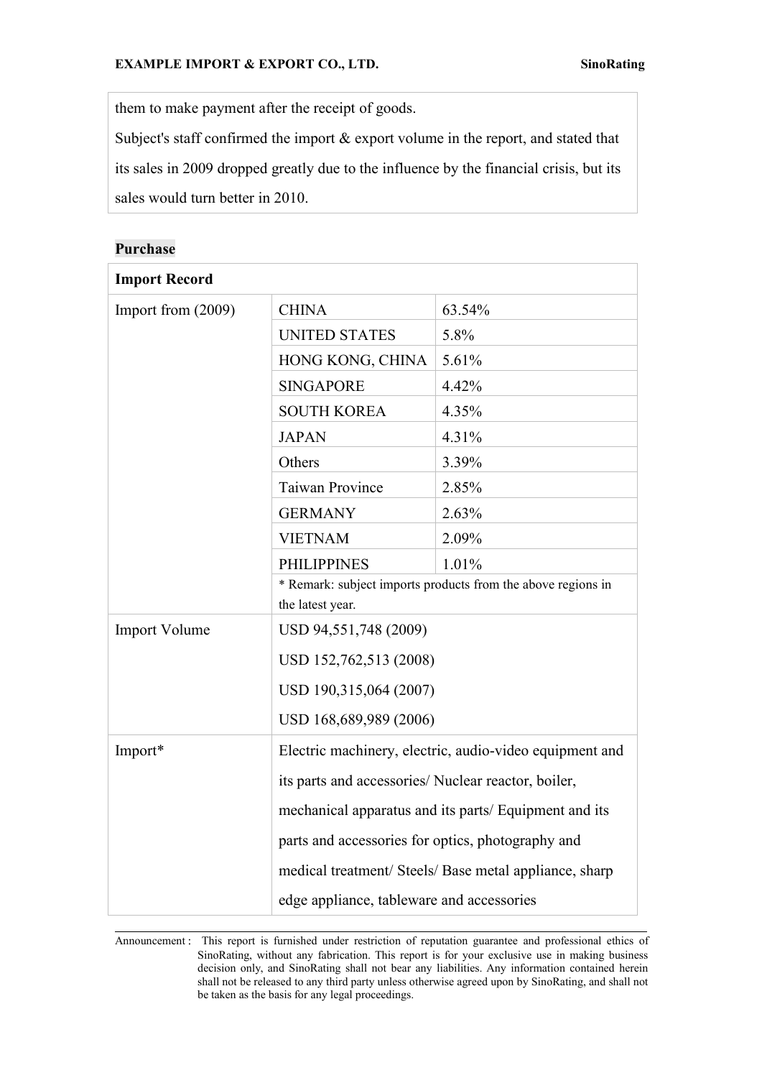them to make payment after the receipt of goods.

Subject's staff confirmed the import & export volume in the report, and stated that its sales in 2009 dropped greatly due to the influence by the financial crisis, but its sales would turn better in 2010.

| <b>Import Record</b> |                                                                                  |        |
|----------------------|----------------------------------------------------------------------------------|--------|
| Import from (2009)   | <b>CHINA</b>                                                                     | 63.54% |
|                      | <b>UNITED STATES</b>                                                             | 5.8%   |
|                      | HONG KONG, CHINA                                                                 | 5.61%  |
|                      | <b>SINGAPORE</b>                                                                 | 4.42%  |
|                      | <b>SOUTH KOREA</b>                                                               | 4.35%  |
|                      | <b>JAPAN</b>                                                                     | 4.31%  |
|                      | Others                                                                           | 3.39%  |
|                      | <b>Taiwan Province</b>                                                           | 2.85%  |
|                      | <b>GERMANY</b>                                                                   | 2.63%  |
|                      | <b>VIETNAM</b>                                                                   | 2.09%  |
|                      | <b>PHILIPPINES</b>                                                               | 1.01%  |
|                      | * Remark: subject imports products from the above regions in<br>the latest year. |        |
| <b>Import Volume</b> | USD 94,551,748 (2009)                                                            |        |
|                      | USD 152,762,513 (2008)                                                           |        |
|                      | USD 190,315,064 (2007)                                                           |        |
|                      | USD 168,689,989 (2006)                                                           |        |
| Import*              | Electric machinery, electric, audio-video equipment and                          |        |
|                      | its parts and accessories/ Nuclear reactor, boiler,                              |        |
|                      | mechanical apparatus and its parts/ Equipment and its                            |        |
|                      | parts and accessories for optics, photography and                                |        |
|                      | medical treatment/ Steels/ Base metal appliance, sharp                           |        |
|                      | edge appliance, tableware and accessories                                        |        |

#### **Purchase**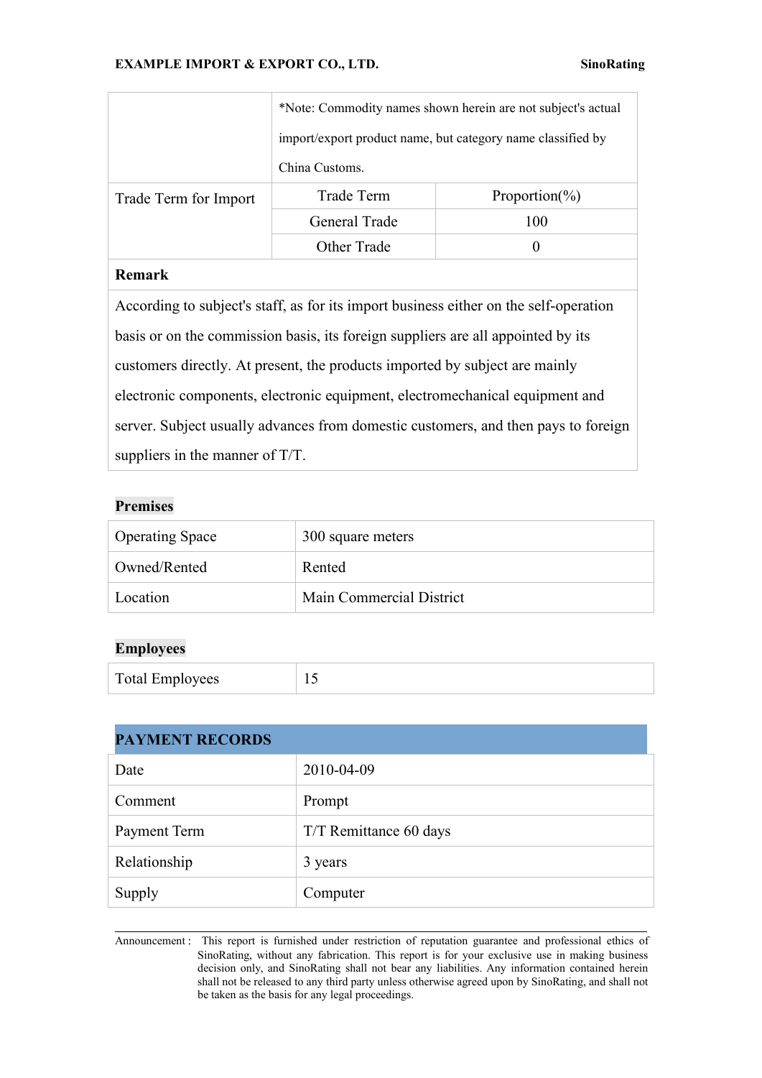|                       | *Note: Commodity names shown herein are not subject's actual |                    |
|-----------------------|--------------------------------------------------------------|--------------------|
|                       | import/export product name, but category name classified by  |                    |
|                       | China Customs.                                               |                    |
| Trade Term for Import | Trade Term                                                   | Proportion( $\%$ ) |
|                       | General Trade                                                | 100                |
|                       | Other Trade                                                  |                    |

# **Remark**

According to subject's staff, as for its import business either on the self-operation basis or on the commission basis, its foreign suppliers are all appointed by its customers directly. At present, the products imported by subject are mainly electronic components, electronic equipment, electromechanical equipment and server. Subject usually advances from domestic customers, and then pays to foreign suppliers in the manner of T/T.

#### **Premises**

| <b>Operating Space</b> | 300 square meters        |
|------------------------|--------------------------|
| Owned/Rented           | Rented                   |
| Location               | Main Commercial District |

#### **Employees**

| <b>Total Employees</b> | $\overline{\phantom{a}}$ |
|------------------------|--------------------------|
|------------------------|--------------------------|

| <b>PAYMENT RECORDS</b> |                        |
|------------------------|------------------------|
| Date                   | 2010-04-09             |
| Comment                | Prompt                 |
| Payment Term           | T/T Remittance 60 days |
| Relationship           | 3 years                |
| Supply                 | Computer               |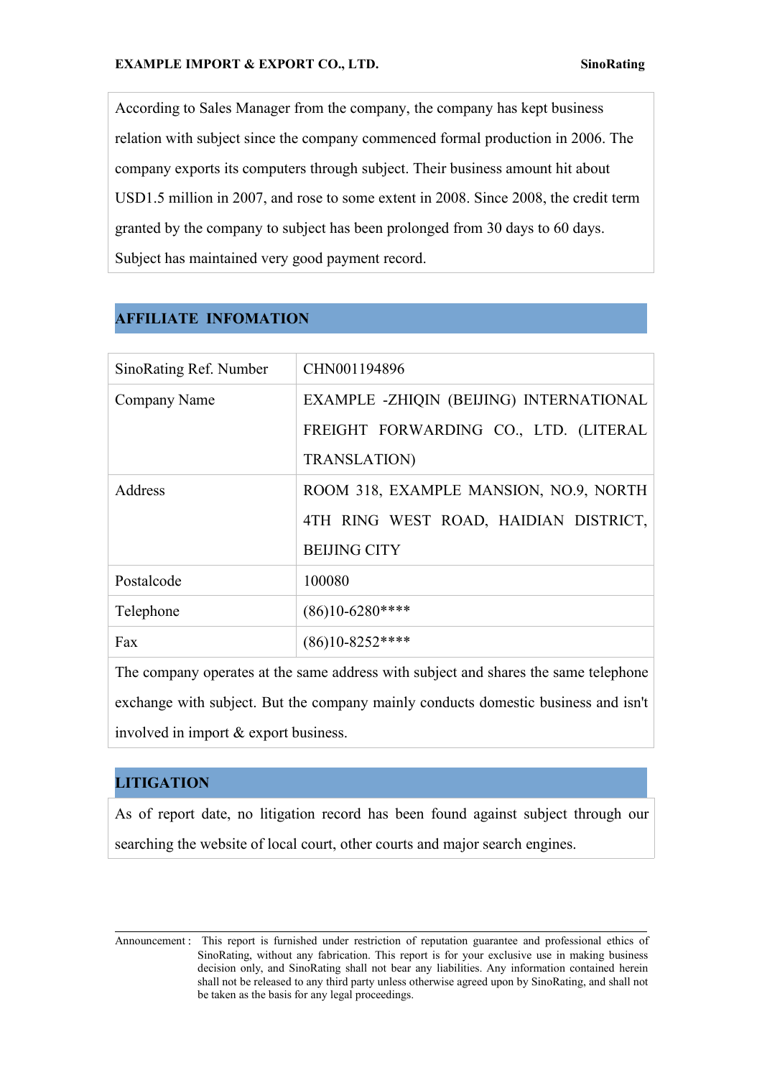According to Sales Manager from the company, the company has kept business relation with subject since the company commenced formal production in 2006. The company exports its computers through subject. Their business amount hit about USD1.5 million in 2007, and rose to some extent in 2008. Since 2008, the credit term granted by the company to subject has been prolonged from 30 days to 60 days. Subject has maintained very good payment record.

# **AFFILIATE INFOMATION**

| SinoRating Ref. Number | CHN001194896                             |  |
|------------------------|------------------------------------------|--|
| Company Name           | EXAMPLE - ZHIQIN (BEIJING) INTERNATIONAL |  |
|                        | FREIGHT FORWARDING CO., LTD. (LITERAL    |  |
|                        | <b>TRANSLATION)</b>                      |  |
| Address                | ROOM 318, EXAMPLE MANSION, NO.9, NORTH   |  |
|                        | 4TH RING WEST ROAD, HAIDIAN DISTRICT,    |  |
|                        | <b>BEIJING CITY</b>                      |  |
| Postalcode             | 100080                                   |  |
| Telephone              | $(86)10-6280***$                         |  |
| Fax                    | $(86)10 - 8252$ ****                     |  |
|                        |                                          |  |

The company operates at the same address with subject and shares the same telephone exchange with subject. But the company mainly conducts domestic business and isn't involved in import & export business.

# **LITIGATION**

As of report date, no litigation record has been found against subject through our searching the website of local court, other courts and major search engines.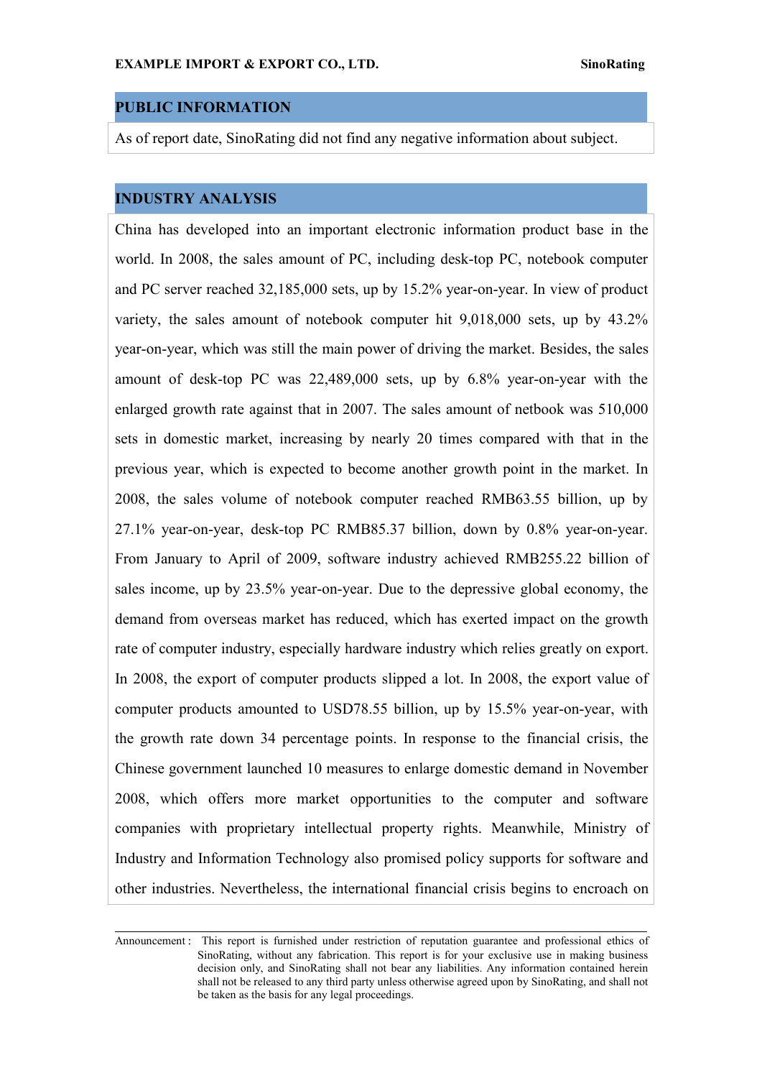## **PUBLIC INFORMATION**

As of report date, SinoRating did not find any negative information about subject.

#### **INDUSTRY ANALYSIS**

China has developed into an important electronic information product base in the world. In 2008, the sales amount of PC, including desk-top PC, notebook computer and PC server reached 32,185,000 sets, up by 15.2% year-on-year. In view of product variety, the sales amount of notebook computer hit 9,018,000 sets, up by 43.2% year-on-year, which was still the main power of driving the market. Besides, the sales amount of desk-top PC was 22,489,000 sets, up by 6.8% year-on-year with the enlarged growth rate against that in 2007. The sales amount of netbook was  $510,000$ sets in domestic market, increasing by nearly 20 times compared with that in the previous year, which is expected to become another growth point in the market. In 2008, the sales volume of notebook computer reached RMB63.55 billion, up by 27.1% year-on-year, desk-top PC RMB85.37 billion, down by 0.8% year-on-year. From January to April of 2009, software industry achieved RMB255.22 billion of sales income, up by 23.5% year-on-year. Due to the depressive global economy, the demand from overseas market has reduced, which has exerted impact on the growth rate of computer industry, especially hardware industry which relies greatly on export. In 2008, the export of computer products slipped a lot. In 2008, the export value of computer products amounted to USD78.55 billion, up by 15.5% year-on-year, with the growth rate down 34 percentage points. In response to the financial crisis, the Chinese government launched 10 measures to enlarge domestic demand in November 2008, which offers more market opportunities to the computer and software companies with proprietary intellectual property rights. Meanwhile, Ministry of Industry and Information Technology also promised policy supports for software and other industries. Nevertheless, the international financial crisis begins to encroach on

Announcement : This report is furnished under restriction of reputation guarantee and professional ethics of SinoRating, without any fabrication. This report is for your exclusive use in making business decision only, and SinoRating shall not bear any liabilities. Any information contained herein shall not be released to any third party unless otherwise agreed upon by SinoRating, and shall not be taken as the basis for any legal proceedings.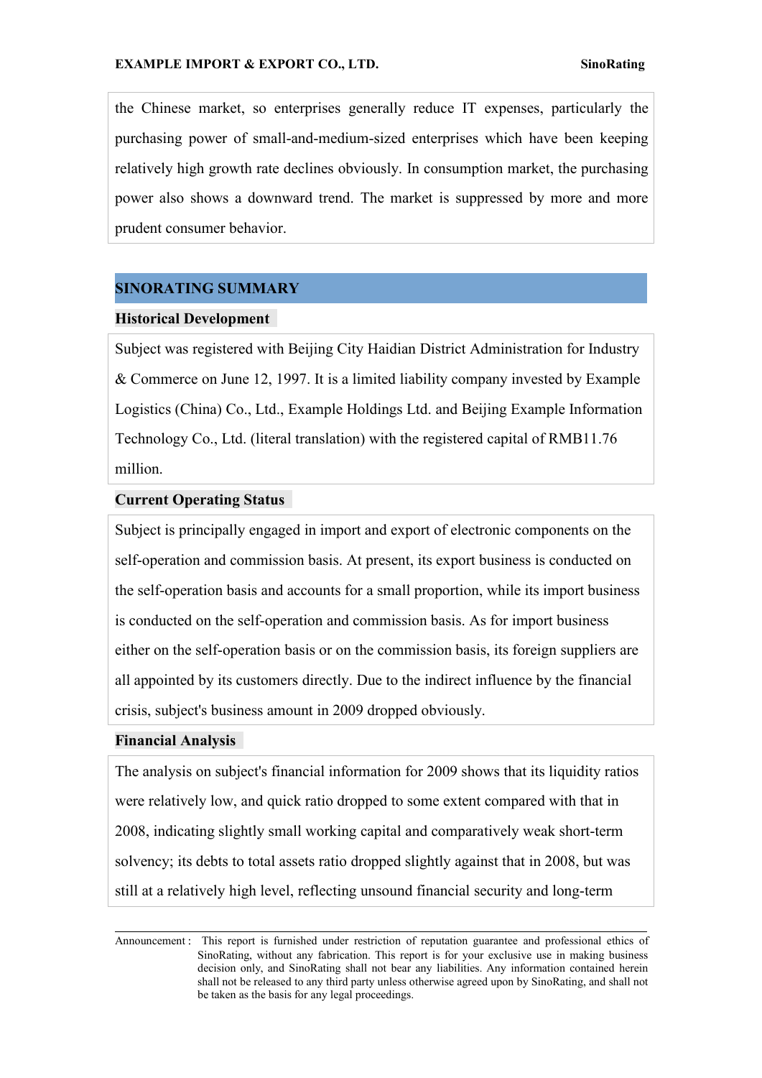the Chinese market, so enterprises generally reduce IT expenses, particularly the purchasing power of small-and-medium-sized enterprises which have been keeping relatively high growth rate declines obviously. In consumption market, the purchasing power also shows a downward trend. The market is suppressed by more and more prudent consumer behavior.

#### **SINORATING SUMMARY**

#### **Historical Development**

Subject was registered with Beijing City Haidian District Administration for Industry & Commerce on June 12, 1997. It is a limited liability company invested by Example Logistics (China) Co., Ltd., Example Holdings Ltd. and Beijing Example Information Technology Co., Ltd. (literal translation) with the registered capital of RMB11.76 million.

#### **Current Operating Status**

Subject is principally engaged in import and export of electronic components on the self-operation and commission basis. At present, its export business is conducted on the self-operation basis and accounts for a small proportion, while its import business is conducted on the self-operation and commission basis. As for import business either on the self-operation basis or on the commission basis, its foreign suppliers are all appointed by its customers directly. Due to the indirect influence by the financial crisis, subject's business amount in 2009 dropped obviously.

#### **Financial Analysis**

The analysis on subject's financial information for 2009 shows that its liquidity ratios were relatively low, and quick ratio dropped to some extent compared with that in 2008, indicating slightly small working capital and comparatively weak short-term solvency; its debts to total assets ratio dropped slightly against that in 2008, but was still at a relatively high level, reflecting unsound financial security and long-term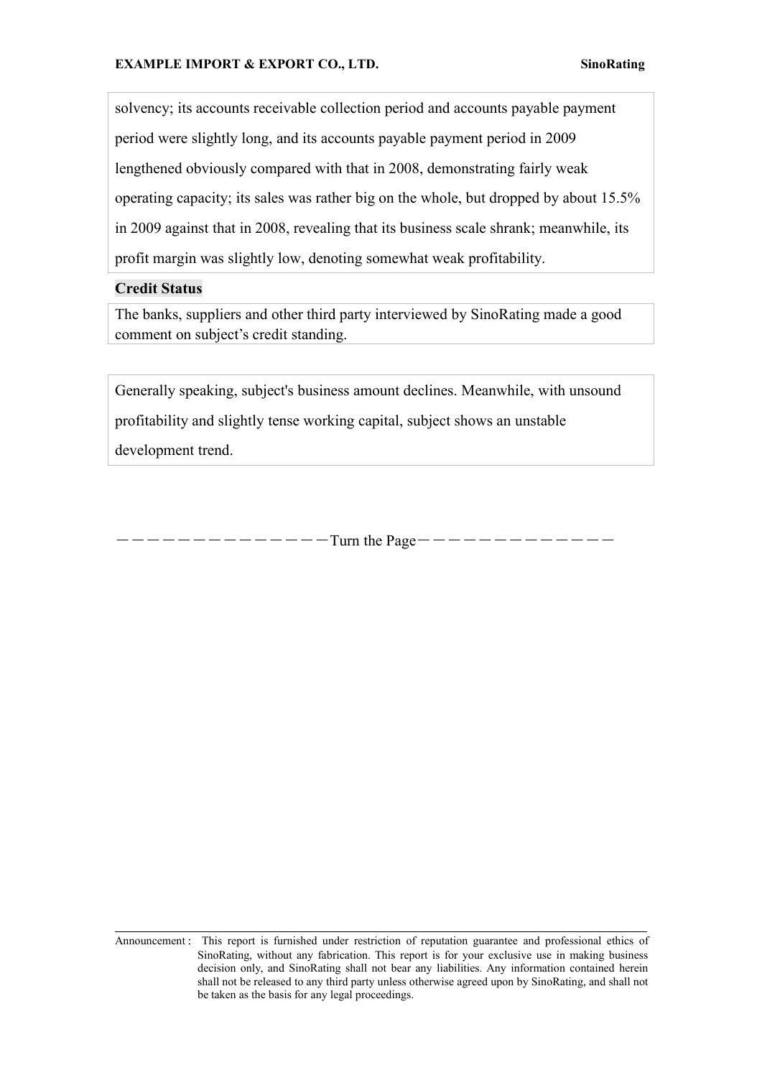solvency; its accounts receivable collection period and accounts payable payment period were slightly long, and its accounts payable payment period in 2009 lengthened obviously compared with that in 2008, demonstrating fairly weak operating capacity; its sales was rather big on the whole, but dropped by about 15.5% in 2009 against that in 2008, revealing that its business scale shrank; meanwhile, its profit margin was slightly low, denoting somewhat weak profitability.

#### **Credit Status**

The banks, suppliers and other third party interviewed by SinoRating made a good comment on subject's credit standing.

Generally speaking, subject's business amount declines. Meanwhile, with unsound profitability and slightly tense working capital, subject shows an unstable development trend.

――――――――――――――Turn the Page―――――――――――――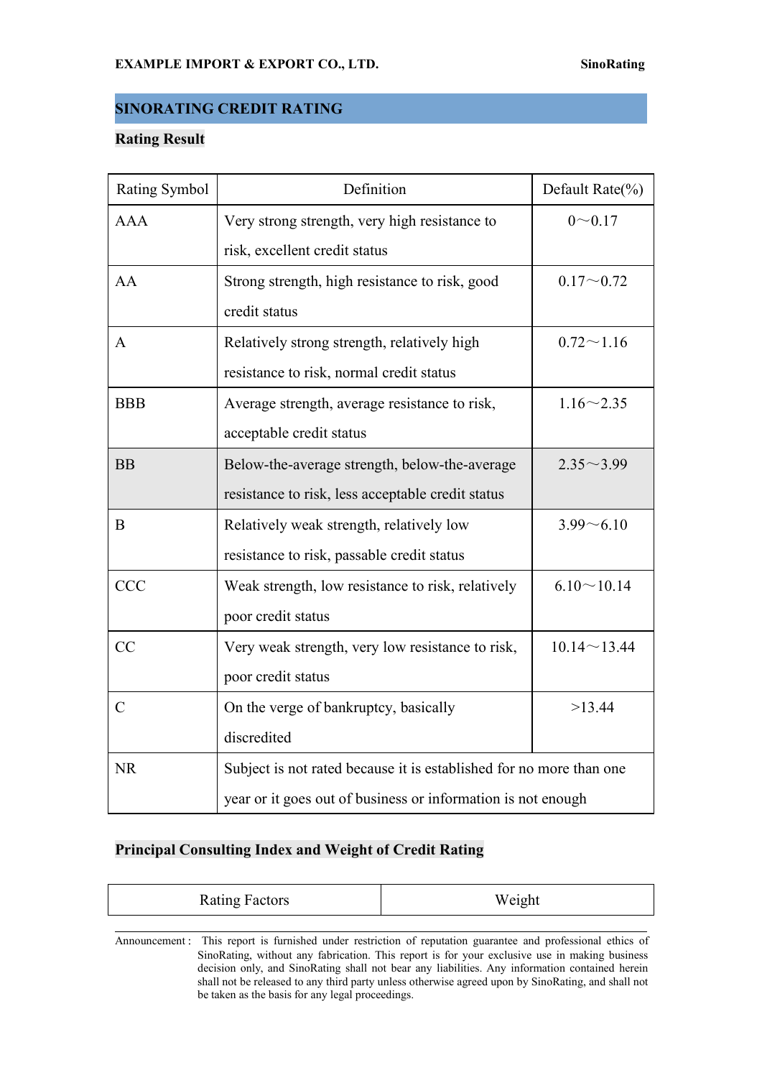# **SINORATING CREDIT RATING**

### **Rating Result**

| Rating Symbol | Definition                                                          | Default Rate(%)    |
|---------------|---------------------------------------------------------------------|--------------------|
| <b>AAA</b>    | Very strong strength, very high resistance to                       | $0 - 0.17$         |
|               | risk, excellent credit status                                       |                    |
| AA            | Strong strength, high resistance to risk, good                      | $0.17 - 0.72$      |
|               | credit status                                                       |                    |
| A             | Relatively strong strength, relatively high                         | $0.72 \sim 1.16$   |
|               | resistance to risk, normal credit status                            |                    |
| <b>BBB</b>    | Average strength, average resistance to risk,                       | $1.16 \sim 2.35$   |
|               | acceptable credit status                                            |                    |
| <b>BB</b>     | Below-the-average strength, below-the-average                       | $2.35 \sim 3.99$   |
|               | resistance to risk, less acceptable credit status                   |                    |
| $\bf{B}$      | Relatively weak strength, relatively low                            | $3.99 - 6.10$      |
|               | resistance to risk, passable credit status                          |                    |
| <b>CCC</b>    | Weak strength, low resistance to risk, relatively                   | $6.10 \sim 10.14$  |
|               | poor credit status                                                  |                    |
| CC            | Very weak strength, very low resistance to risk,                    | $10.14 \sim 13.44$ |
|               | poor credit status                                                  |                    |
| $\mathcal{C}$ | On the verge of bankruptcy, basically                               | >13.44             |
|               | discredited                                                         |                    |
| <b>NR</b>     | Subject is not rated because it is established for no more than one |                    |
|               | year or it goes out of business or information is not enough        |                    |

# **Principal Consulting Index and Weight of Credit Rating**

| <b>Rating Factors</b> | Weight |
|-----------------------|--------|
|                       |        |